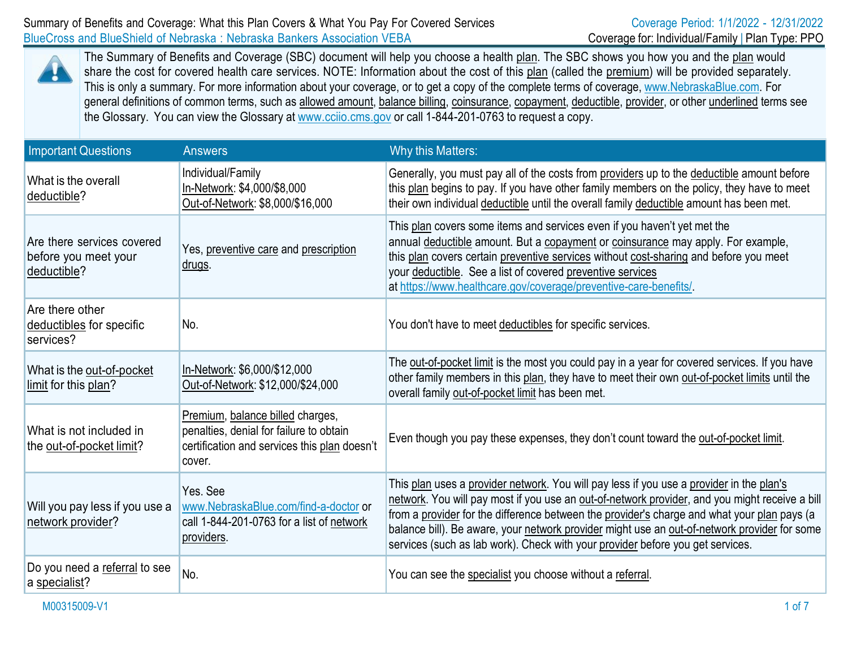

The Summary of Benefits and Coverage (SBC) document will help you choose a health plan. The SBC shows you how you and the plan would share the cost for covered health care services. NOTE: Information about the cost of this plan (called the premium) will be provided separately. This is only a summary. For more information about your coverage, or to get a copy of the complete terms of coverage, [www.NebraskaBlue.com.](http://www.nebraskablue.com/) For general definitions of common terms, such as allowed amount, balance billing, coinsurance, copayment, deductible, provider, or other underlined terms see the Glossary. You can view the Glossary at [www.cciio.cms.gov](http://www.cciio.cms.gov/) or call 1-844-201-0763 to request a copy.

| <b>Important Questions</b>                                        | <b>Answers</b>                                                                                                                        | Why this Matters:                                                                                                                                                                                                                                                                                                                                                                                                                                                           |
|-------------------------------------------------------------------|---------------------------------------------------------------------------------------------------------------------------------------|-----------------------------------------------------------------------------------------------------------------------------------------------------------------------------------------------------------------------------------------------------------------------------------------------------------------------------------------------------------------------------------------------------------------------------------------------------------------------------|
| What is the overall<br>deductible?                                | Individual/Family<br>In-Network: \$4,000/\$8,000<br>Out-of-Network: \$8,000/\$16,000                                                  | Generally, you must pay all of the costs from providers up to the deductible amount before<br>this plan begins to pay. If you have other family members on the policy, they have to meet<br>their own individual deductible until the overall family deductible amount has been met.                                                                                                                                                                                        |
| Are there services covered<br>before you meet your<br>deductible? | Yes, preventive care and prescription<br><u>drugs</u> .                                                                               | This plan covers some items and services even if you haven't yet met the<br>annual deductible amount. But a copayment or coinsurance may apply. For example,<br>this plan covers certain preventive services without cost-sharing and before you meet<br>your deductible. See a list of covered preventive services<br>at https://www.healthcare.gov/coverage/preventive-care-benefits/.                                                                                    |
| Are there other<br>deductibles for specific<br>services?          | No.                                                                                                                                   | You don't have to meet deductibles for specific services.                                                                                                                                                                                                                                                                                                                                                                                                                   |
| What is the out-of-pocket<br>limit for this plan?                 | In-Network: \$6,000/\$12,000<br>Out-of-Network: \$12,000/\$24,000                                                                     | The out-of-pocket limit is the most you could pay in a year for covered services. If you have<br>other family members in this plan, they have to meet their own out-of-pocket limits until the<br>overall family out-of-pocket limit has been met.                                                                                                                                                                                                                          |
| What is not included in<br>the out-of-pocket limit?               | Premium, balance billed charges,<br>penalties, denial for failure to obtain<br>certification and services this plan doesn't<br>cover. | Even though you pay these expenses, they don't count toward the out-of-pocket limit.                                                                                                                                                                                                                                                                                                                                                                                        |
| Will you pay less if you use a<br>network provider?               | Yes. See<br>www.NebraskaBlue.com/find-a-doctor or<br>call 1-844-201-0763 for a list of network<br>providers.                          | This plan uses a provider network. You will pay less if you use a provider in the plan's<br>network. You will pay most if you use an out-of-network provider, and you might receive a bill<br>from a provider for the difference between the provider's charge and what your plan pays (a<br>balance bill). Be aware, your network provider might use an out-of-network provider for some<br>services (such as lab work). Check with your provider before you get services. |
| Do you need a referral to see<br>a specialist?                    | No.                                                                                                                                   | You can see the specialist you choose without a referral.                                                                                                                                                                                                                                                                                                                                                                                                                   |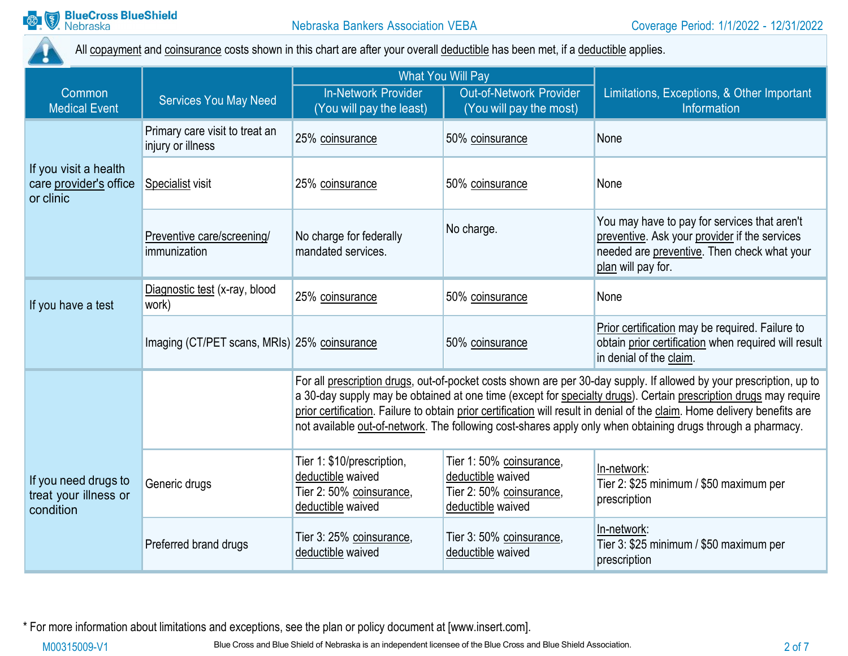

All copayment and coinsurance costs shown in this chart are after your overall deductible has been met, if a deductible applies.

|                                                              |                                                     | <b>What You Will Pay</b>                                                                                                                                                                                                                                                                                                                                                                                                                                                            |                                                                                                |                                                                                                                                                                    |
|--------------------------------------------------------------|-----------------------------------------------------|-------------------------------------------------------------------------------------------------------------------------------------------------------------------------------------------------------------------------------------------------------------------------------------------------------------------------------------------------------------------------------------------------------------------------------------------------------------------------------------|------------------------------------------------------------------------------------------------|--------------------------------------------------------------------------------------------------------------------------------------------------------------------|
| Common<br><b>Medical Event</b>                               | <b>Services You May Need</b>                        | <b>In-Network Provider</b><br>(You will pay the least)                                                                                                                                                                                                                                                                                                                                                                                                                              | <b>Out-of-Network Provider</b><br>(You will pay the most)                                      | Limitations, Exceptions, & Other Important<br>Information                                                                                                          |
|                                                              | Primary care visit to treat an<br>injury or illness | 25% coinsurance                                                                                                                                                                                                                                                                                                                                                                                                                                                                     | 50% coinsurance                                                                                | None                                                                                                                                                               |
| If you visit a health<br>care provider's office<br>or clinic | Specialist visit                                    | 25% coinsurance                                                                                                                                                                                                                                                                                                                                                                                                                                                                     | 50% coinsurance                                                                                | None                                                                                                                                                               |
|                                                              | Preventive care/screening/<br>immunization          | No charge for federally<br>mandated services.                                                                                                                                                                                                                                                                                                                                                                                                                                       | No charge.                                                                                     | You may have to pay for services that aren't<br>preventive. Ask your provider if the services<br>needed are preventive. Then check what your<br>plan will pay for. |
| If you have a test                                           | Diagnostic test (x-ray, blood<br>work)              | 25% coinsurance                                                                                                                                                                                                                                                                                                                                                                                                                                                                     | 50% coinsurance                                                                                | None                                                                                                                                                               |
|                                                              | Imaging (CT/PET scans, MRIs) 25% coinsurance        |                                                                                                                                                                                                                                                                                                                                                                                                                                                                                     | 50% coinsurance                                                                                | Prior certification may be required. Failure to<br>obtain prior certification when required will result<br>in denial of the claim.                                 |
|                                                              |                                                     | For all prescription drugs, out-of-pocket costs shown are per 30-day supply. If allowed by your prescription, up to<br>a 30-day supply may be obtained at one time (except for specialty drugs). Certain prescription drugs may require<br>prior certification. Failure to obtain prior certification will result in denial of the claim. Home delivery benefits are<br>not available out-of-network. The following cost-shares apply only when obtaining drugs through a pharmacy. |                                                                                                |                                                                                                                                                                    |
| If you need drugs to<br>treat your illness or<br>condition   | Generic drugs                                       | Tier 1: \$10/prescription,<br>deductible waived<br>Tier 2: 50% coinsurance,<br>deductible waived                                                                                                                                                                                                                                                                                                                                                                                    | Tier 1: 50% coinsurance,<br>deductible waived<br>Tier 2: 50% coinsurance,<br>deductible waived | In-network:<br>Tier 2: \$25 minimum / \$50 maximum per<br>prescription                                                                                             |
|                                                              | Preferred brand drugs                               | Tier 3: 25% coinsurance,<br>deductible waived                                                                                                                                                                                                                                                                                                                                                                                                                                       | Tier 3: 50% coinsurance,<br>deductible waived                                                  | In-network:<br>Tier 3: \$25 minimum / \$50 maximum per<br>prescription                                                                                             |

\* For more information about limitations and exceptions, see the plan or policy document at [\[www.insert.com\]](http://www.insert.com/).

M00315009-V1 Blue Cross and Blue Shield of Nebraska is an independent licensee of the Blue Cross and Blue Shield Association. 2 of 7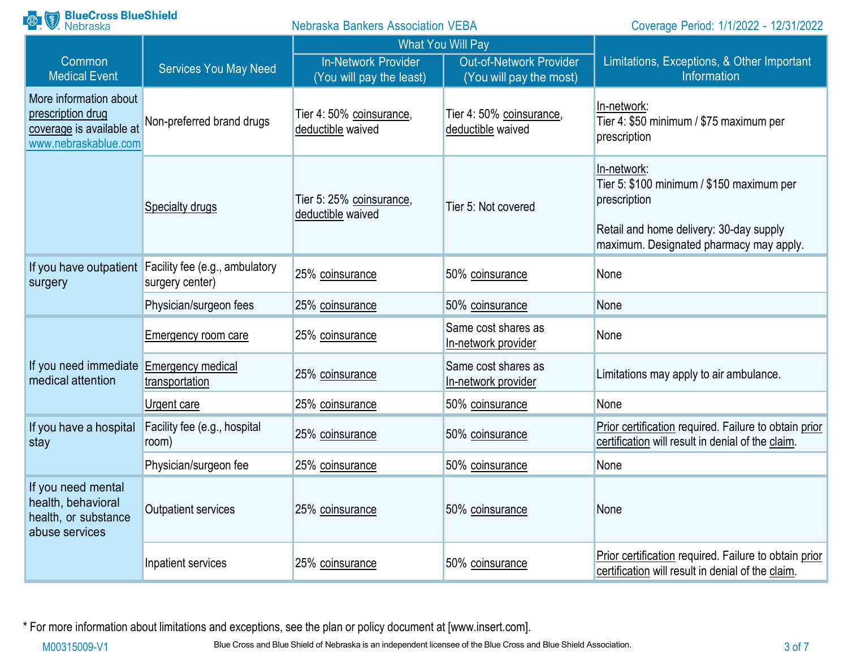| <b>Range BlueCross BlueShield</b><br><b>Nebraska Bankers Association VEBA</b>                   |                                                                          | Coverage Period: 1/1/2022 - 12/31/2022                 |                                                           |                                                                                                                                                                |
|-------------------------------------------------------------------------------------------------|--------------------------------------------------------------------------|--------------------------------------------------------|-----------------------------------------------------------|----------------------------------------------------------------------------------------------------------------------------------------------------------------|
|                                                                                                 |                                                                          |                                                        | What You Will Pay                                         |                                                                                                                                                                |
| Common<br><b>Medical Event</b>                                                                  | <b>Services You May Need</b>                                             | <b>In-Network Provider</b><br>(You will pay the least) | <b>Out-of-Network Provider</b><br>(You will pay the most) | Limitations, Exceptions, & Other Important<br>Information                                                                                                      |
| More information about<br>prescription drug<br>coverage is available at<br>www.nebraskablue.com | Non-preferred brand drugs                                                | Tier 4: 50% coinsurance,<br>deductible waived          | Tier 4: 50% coinsurance,<br>deductible waived             | In-network:<br>Tier 4: \$50 minimum / \$75 maximum per<br>prescription                                                                                         |
|                                                                                                 | Specialty drugs                                                          | Tier 5: 25% coinsurance,<br>deductible waived          | Tier 5: Not covered                                       | In-network:<br>Tier 5: \$100 minimum / \$150 maximum per<br>prescription<br>Retail and home delivery: 30-day supply<br>maximum. Designated pharmacy may apply. |
| surgery                                                                                         | If you have outpatient Facility fee (e.g., ambulatory<br>surgery center) | 25% coinsurance                                        | 50% coinsurance                                           | None                                                                                                                                                           |
|                                                                                                 | Physician/surgeon fees                                                   | 25% coinsurance                                        | 50% coinsurance                                           | None                                                                                                                                                           |
|                                                                                                 | <b>Emergency room care</b>                                               | 25% coinsurance                                        | Same cost shares as<br>In-network provider                | None                                                                                                                                                           |
| If you need immediate<br>medical attention                                                      | <b>Emergency medical</b><br>transportation                               | 25% coinsurance                                        | Same cost shares as<br>In-network provider                | Limitations may apply to air ambulance.                                                                                                                        |
|                                                                                                 | Urgent care                                                              | 25% coinsurance                                        | 50% coinsurance                                           | None                                                                                                                                                           |
| If you have a hospital<br>stay                                                                  | Facility fee (e.g., hospital<br>room)                                    | 25% coinsurance                                        | 50% coinsurance                                           | Prior certification required. Failure to obtain prior<br>certification will result in denial of the claim.                                                     |
|                                                                                                 | Physician/surgeon fee                                                    | 25% coinsurance                                        | 50% coinsurance                                           | None                                                                                                                                                           |
| If you need mental<br>health, behavioral<br>health, or substance<br>abuse services              | Outpatient services                                                      | 25% coinsurance                                        | 50% coinsurance                                           | None                                                                                                                                                           |
|                                                                                                 | Inpatient services                                                       | 25% coinsurance                                        | 50% coinsurance                                           | Prior certification required. Failure to obtain prior<br>certification will result in denial of the claim.                                                     |

\* For more information about limitations and exceptions, see the plan or policy document at [\[www.insert.com\]](http://www.insert.com/).

M00315009-V1 Blue Cross and Blue Shield of Nebraska is an independent licensee of the Blue Cross and Blue Shield Association.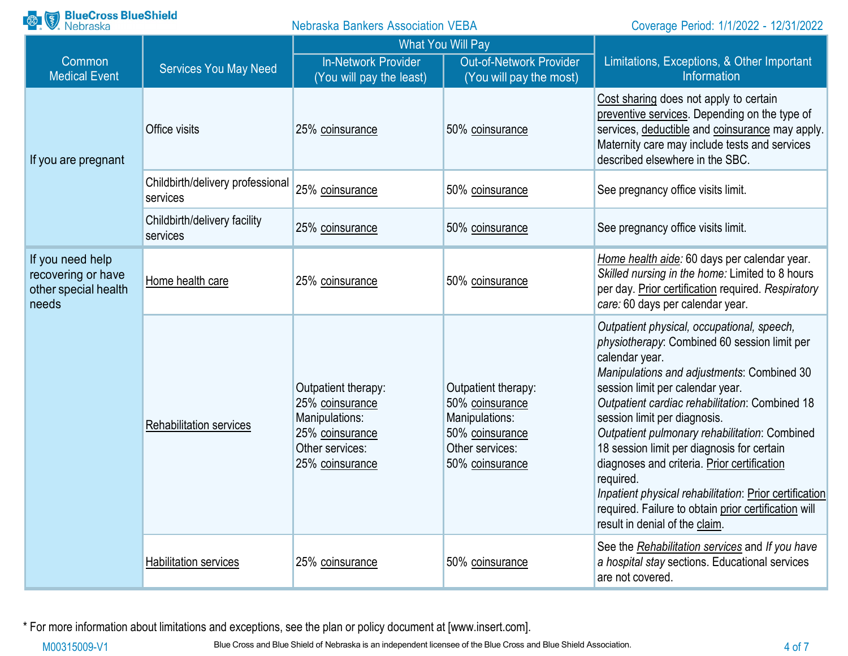| <b>BlueCross BlueShield</b><br>Nebraska<br>$\left(\frac{8}{3}\right)$   |                                              | <b>Nebraska Bankers Association VEBA</b>                                                                          |                                                                                                                   | Coverage Period: 1/1/2022 - 12/31/2022                                                                                                                                                                                                                                                                                                                                                                                                                                                                                                                                                          |
|-------------------------------------------------------------------------|----------------------------------------------|-------------------------------------------------------------------------------------------------------------------|-------------------------------------------------------------------------------------------------------------------|-------------------------------------------------------------------------------------------------------------------------------------------------------------------------------------------------------------------------------------------------------------------------------------------------------------------------------------------------------------------------------------------------------------------------------------------------------------------------------------------------------------------------------------------------------------------------------------------------|
|                                                                         |                                              | <b>What You Will Pay</b>                                                                                          |                                                                                                                   |                                                                                                                                                                                                                                                                                                                                                                                                                                                                                                                                                                                                 |
| Common<br><b>Medical Event</b>                                          | <b>Services You May Need</b>                 | <b>In-Network Provider</b><br>(You will pay the least)                                                            | <b>Out-of-Network Provider</b><br>(You will pay the most)                                                         | Limitations, Exceptions, & Other Important<br>Information                                                                                                                                                                                                                                                                                                                                                                                                                                                                                                                                       |
| If you are pregnant                                                     | Office visits                                | 25% coinsurance                                                                                                   | 50% coinsurance                                                                                                   | Cost sharing does not apply to certain<br>preventive services. Depending on the type of<br>services, deductible and coinsurance may apply.<br>Maternity care may include tests and services<br>described elsewhere in the SBC.                                                                                                                                                                                                                                                                                                                                                                  |
|                                                                         | Childbirth/delivery professional<br>services | 25% coinsurance                                                                                                   | 50% coinsurance                                                                                                   | See pregnancy office visits limit.                                                                                                                                                                                                                                                                                                                                                                                                                                                                                                                                                              |
|                                                                         | Childbirth/delivery facility<br>services     | 25% coinsurance                                                                                                   | 50% coinsurance                                                                                                   | See pregnancy office visits limit.                                                                                                                                                                                                                                                                                                                                                                                                                                                                                                                                                              |
| If you need help<br>recovering or have<br>other special health<br>needs | Home health care                             | 25% coinsurance                                                                                                   | 50% coinsurance                                                                                                   | Home health aide: 60 days per calendar year.<br>Skilled nursing in the home: Limited to 8 hours<br>per day. Prior certification required. Respiratory<br>care: 60 days per calendar year.                                                                                                                                                                                                                                                                                                                                                                                                       |
|                                                                         | <b>Rehabilitation services</b>               | Outpatient therapy:<br>25% coinsurance<br>Manipulations:<br>25% coinsurance<br>Other services:<br>25% coinsurance | Outpatient therapy:<br>50% coinsurance<br>Manipulations:<br>50% coinsurance<br>Other services:<br>50% coinsurance | Outpatient physical, occupational, speech,<br>physiotherapy: Combined 60 session limit per<br>calendar year.<br>Manipulations and adjustments: Combined 30<br>session limit per calendar year.<br>Outpatient cardiac rehabilitation: Combined 18<br>session limit per diagnosis.<br>Outpatient pulmonary rehabilitation: Combined<br>18 session limit per diagnosis for certain<br>diagnoses and criteria. Prior certification<br>required.<br>Inpatient physical rehabilitation: Prior certification<br>required. Failure to obtain prior certification will<br>result in denial of the claim. |
|                                                                         | <b>Habilitation services</b>                 | 25% coinsurance                                                                                                   | 50% coinsurance                                                                                                   | See the Rehabilitation services and If you have<br>a hospital stay sections. Educational services<br>are not covered.                                                                                                                                                                                                                                                                                                                                                                                                                                                                           |

\* For more information about limitations and exceptions, see the plan or policy document at [\[www.insert.com\]](http://www.insert.com/).

M00315009-V1 Blue Cross and Blue Shield of Nebraska is an independent licensee of the Blue Cross and Blue Shield Association. 4 of 7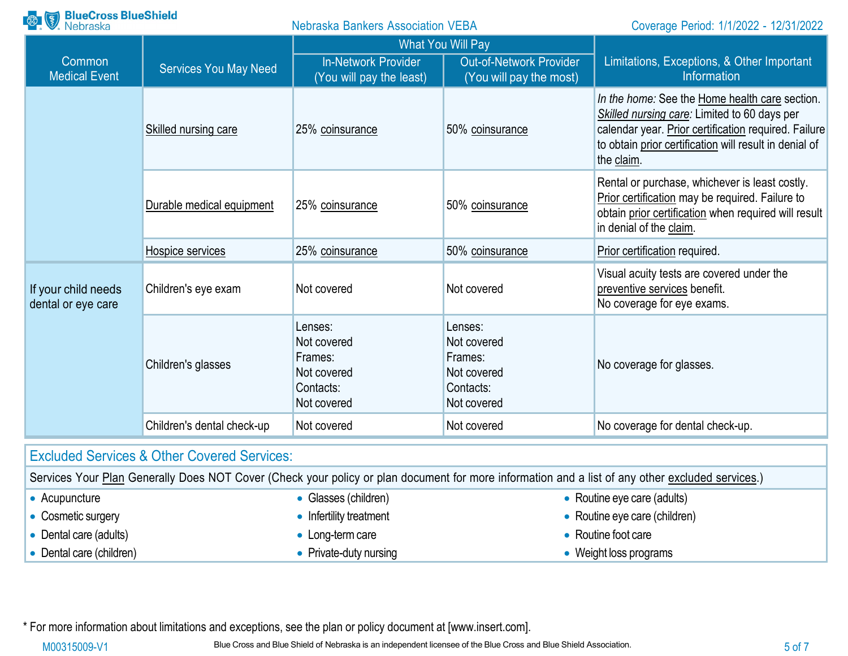| <b>BlueCross BlueShield</b><br>Nebraska                |                              | <b>Nebraska Bankers Association VEBA</b>                                     |                                                                              | Coverage Period: 1/1/2022 - 12/31/2022                                                                                                                                                                                         |
|--------------------------------------------------------|------------------------------|------------------------------------------------------------------------------|------------------------------------------------------------------------------|--------------------------------------------------------------------------------------------------------------------------------------------------------------------------------------------------------------------------------|
|                                                        |                              | <b>What You Will Pay</b>                                                     |                                                                              |                                                                                                                                                                                                                                |
| Common<br><b>Medical Event</b>                         | <b>Services You May Need</b> | <b>In-Network Provider</b><br>(You will pay the least)                       | <b>Out-of-Network Provider</b><br>(You will pay the most)                    | Limitations, Exceptions, & Other Important<br>Information                                                                                                                                                                      |
|                                                        | Skilled nursing care         | 25% coinsurance                                                              | 50% coinsurance                                                              | In the home: See the Home health care section.<br>Skilled nursing care: Limited to 60 days per<br>calendar year. Prior certification required. Failure<br>to obtain prior certification will result in denial of<br>the claim. |
|                                                        | Durable medical equipment    | 25% coinsurance                                                              | 50% coinsurance                                                              | Rental or purchase, whichever is least costly.<br>Prior certification may be required. Failure to<br>obtain prior certification when required will result<br>in denial of the claim.                                           |
|                                                        | Hospice services             | 25% coinsurance                                                              | 50% coinsurance                                                              | Prior certification required.                                                                                                                                                                                                  |
| If your child needs<br>dental or eye care              | Children's eye exam          | Not covered                                                                  | Not covered                                                                  | Visual acuity tests are covered under the<br>preventive services benefit.<br>No coverage for eye exams.                                                                                                                        |
|                                                        | Children's glasses           | Lenses:<br>Not covered<br>Frames:<br>Not covered<br>Contacts:<br>Not covered | Lenses:<br>Not covered<br>Frames:<br>Not covered<br>Contacts:<br>Not covered | No coverage for glasses.                                                                                                                                                                                                       |
|                                                        | Children's dental check-up   | Not covered                                                                  | Not covered                                                                  | No coverage for dental check-up.                                                                                                                                                                                               |
| <b>Excluded Services &amp; Other Covered Services:</b> |                              |                                                                              |                                                                              |                                                                                                                                                                                                                                |
|                                                        |                              |                                                                              |                                                                              | Carvices Your Plan Generally Does NOT Cover (Check your policy or plan document for more information and a list of any other excluded services)                                                                                |

|                        |                          | OCHINGS TUDI FIAH OCHCHAIN DUCS NOT CUVCH (CHCCK YOUL DUICY OF DIAH QUULICHE IOF HIUHAINIH AND A IISE OF ANY ONCE CAUDUCU SCHVICCS.) |
|------------------------|--------------------------|--------------------------------------------------------------------------------------------------------------------------------------|
| Acupuncture            | • Glasses (children)     | • Routine eye care (adults)                                                                                                          |
| Cosmetic surgery       | • Infertility treatment  | • Routine eye care (children)                                                                                                        |
| Dental care (adults)   | $\bullet$ Long-term care | • Routine foot care                                                                                                                  |
| Dental care (children) | • Private-duty nursing   | <b>Weight loss programs</b>                                                                                                          |

\* For more information about limitations and exceptions, see the plan or policy document at [\[www.insert.com\]](http://www.insert.com/).

M00315009-V1 Blue Cross and Blue Shield of Nebraska is an independent licensee of the Blue Cross and Blue Shield Association.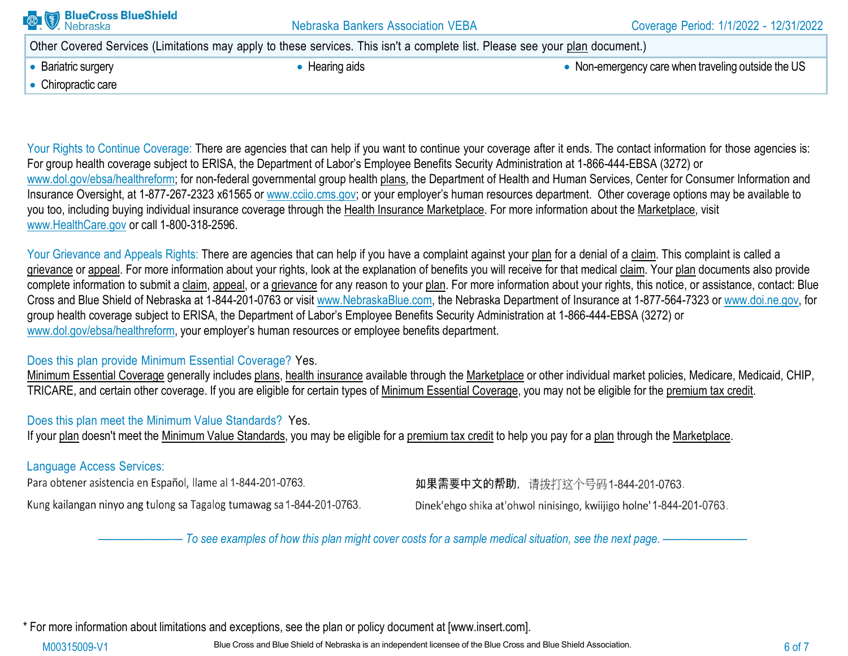| <b>BlueCross BlueShield</b><br>Nebraska | <b>Nebraska Bankers Association VEBA</b>                                                                                     | Coverage Period: 1/1/2022 - 12/31/2022             |
|-----------------------------------------|------------------------------------------------------------------------------------------------------------------------------|----------------------------------------------------|
|                                         | Other Covered Services (Limitations may apply to these services. This isn't a complete list. Please see your plan document.) |                                                    |
| • Bariatric surgery                     | • Hearing aids                                                                                                               | • Non-emergency care when traveling outside the US |
| • Chiropractic care                     |                                                                                                                              |                                                    |
|                                         |                                                                                                                              |                                                    |

Your Rights to Continue Coverage: There are agencies that can help if you want to continue your coverage after it ends. The contact information for those agencies is: For group health coverage subject to ERISA, the Department of Labor's Employee Benefits Security Administration at 1-866-444-EBSA (3272) or [www.dol.gov/ebsa/healthreform; f](http://www.dol.gov/ebsa/healthreform%3B)or non-federal governmental group health plans, the Department of Health and Human Services, Center for Consumer Information and Insurance Oversight, at 1-877-267-2323 x61565 or www.cciio.cms.gov; or your employer's human resources department. Other coverage options may be available to vou too, including buying individual insurance coverage through the Health Insurance Marketplace. For more information about the Marketplace, visit [www.HealthCare.gov](http://www.healthcare.gov/) or call 1-800-318-2596.

Your Grievance and Appeals Rights: There are agencies that can help if you have a complaint against your plan for a denial of a claim. This complaint is called a grievance or appeal. For more information about your rights, look at the explanation of benefits you will receive for that medical claim. Your plan documents also provide complete information to submit a claim, appeal, or a grievance for any reason to your plan. For more information about your rights, this notice, or assistance, contact: Blue Cross and Blue Shield of Nebraska at 1-844-201-0763 or visit [www.NebraskaBlue.com, t](http://www.nebraskablue.com/)he Nebraska Department of Insurance at 1-877-564-7323 or [www.doi.ne.gov, f](http://www.doi.ne.gov/)or group health coverage subject to ERISA, the Department of Labor's Employee Benefits Security Administration at 1-866-444-EBSA (3272) or [www.dol.gov/ebsa/healthreform,](http://www.dol.gov/ebsa/healthreform) your employer's human resources or employee benefits department.

#### Does this plan provide Minimum Essential Coverage? Yes.

Minimum Essential Coverage generally includes plans, health insurance available through the Marketplace or other individual market policies, Medicare, Medicaid, CHIP, TRICARE, and certain other coverage. If you are eligible for certain types of Minimum Essential Coverage, you may not be eligible for the premium tax credit.

## Does this plan meet the Minimum Value Standards? Yes.

If your plan doesn't meet the Minimum Value Standards, you may be eligible for a premium tax credit to help you pay for a plan through the Marketplace.

## Language Access Services:

Para obtener asistencia en Español, llame al 1-844-201-0763.

Kung kailangan ninyo ang tulong sa Tagalog tumawag sa 1-844-201-0763.

如果需要中文的帮助, 请拨打这个号码1-844-201-0763.

Dinek'ehgo shika at'ohwol ninisingo, kwiijigo holne' 1-844-201-0763.

- To see examples of how this plan might cover costs for a sample medical situation, see the next page. -----

\* For more information about limitations and exceptions, see the plan or policy document at [\[www.insert.com\]](http://www.insert.com/).

M00315009-V1 Blue Cross and Blue Shield of Nebraska is an independent licensee of the Blue Cross and Blue Shield Association.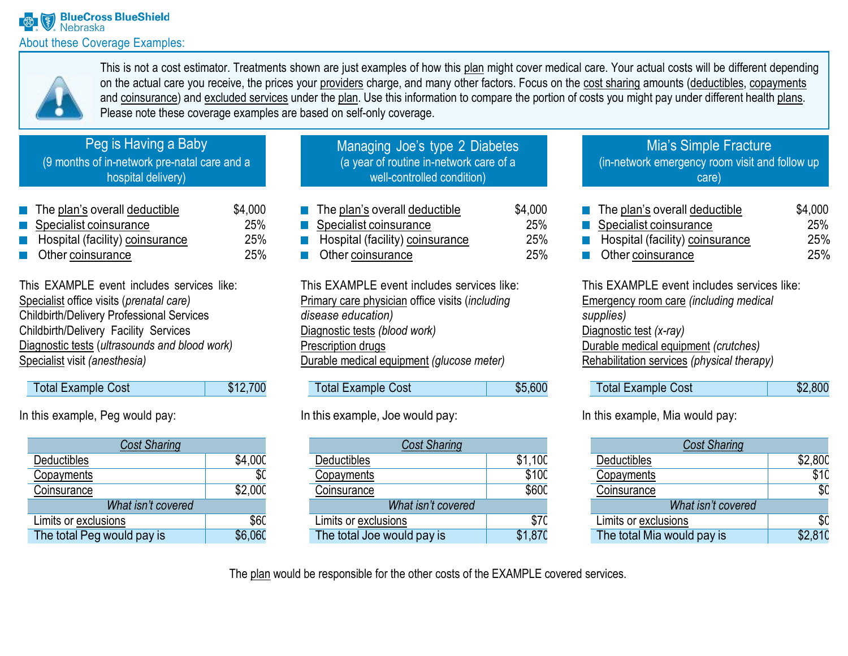

This is not a cost estimator. Treatments shown are just examples of how this plan might cover medical care. Your actual costs will be different depending on the actual care you receive, the prices your providers charge, and many other factors. Focus on the cost sharing amounts (deductibles, copayments and coinsurance) and excluded services under the plan. Use this information to compare the portion of costs you might pay under different health plans. Please note these coverage examples are based on self-only coverage.

# Peg is Having a Baby

(9 months of in-network pre-natal care and a hospital delivery)

| $\blacksquare$ The plan's overall deductible   | \$4,000    |
|------------------------------------------------|------------|
| Specialist coinsurance                         | <b>25%</b> |
| Hospital (facility) coinsurance<br><b>Tale</b> | 25%        |
| <b>Other coinsurance</b>                       | 25%        |

This EXAMPLE event includes services like: Specialist office visits (*prenatal care)* Childbirth/Delivery Professional Services Childbirth/Delivery Facility Services Diagnostic tests (*ultrasounds and blood work)* Specialist visit *(anesthesia)*

| Total Example Cost | \$12,700 |
|--------------------|----------|
|--------------------|----------|

In this example, Peg would pay:

| <b>Cost Sharing</b>        |         |  |  |
|----------------------------|---------|--|--|
| Deductibles                | \$4,000 |  |  |
| Copayments                 | \$0     |  |  |
| Coinsurance                | \$2,000 |  |  |
| What isn't covered         |         |  |  |
| Limits or exclusions       | \$60    |  |  |
| The total Peg would pay is | \$6.060 |  |  |

| Managing Joe's type 2 Diabetes          |
|-----------------------------------------|
| (a year of routine in-network care of a |
| well-controlled condition)              |
|                                         |

| $\blacksquare$ The plan's overall deductible | \$4,000 |
|----------------------------------------------|---------|
| Specialist coinsurance                       | 25%     |
| Hospital (facility) coinsurance              | 25%     |
| <b>C</b> Other coinsurance                   | 25%     |

This EXAMPLE event includes services like: Primary care physician office visits (*including disease education)* Diagnostic tests *(blood work)* Prescription drugs Durable medical equipment *(glucose meter)*

| <b>Total Example Cost</b> | \$5,600 |
|---------------------------|---------|

## In this example, Joe would pay:

| <b>Cost Sharing</b>        |         |  |  |  |
|----------------------------|---------|--|--|--|
| Deductibles                | \$1,100 |  |  |  |
| Copayments                 | \$100   |  |  |  |
| Coinsurance                | \$600   |  |  |  |
| What isn't covered         |         |  |  |  |
| Limits or exclusions       | \$70    |  |  |  |
| The total Joe would pay is | \$1,870 |  |  |  |

### Mia's Simple Fracture (in-network emergency room visit and follow up care)

| $\blacksquare$ The plan's overall deductible | \$4,000    |
|----------------------------------------------|------------|
| Specialist coinsurance                       | 25%        |
| Hospital (facility) coinsurance              | <b>25%</b> |
| <b>C</b> Other coinsurance                   | <b>25%</b> |

This EXAMPLE event includes services like: Emergency room care *(including medical supplies)* Diagnostic test *(x-ray)* Durable medical equipment *(crutches)* Rehabilitation services *(physical therapy)*

| Total Example Cost | \$2,800 |
|--------------------|---------|
|                    |         |

In this example, Mia would pay:

| <b>Cost Sharing</b>        |         |
|----------------------------|---------|
| Deductibles                | \$2,800 |
| Copayments                 | \$10    |
| Coinsurance                | \$0     |
| What isn't covered         |         |
| Limits or exclusions       |         |
| The total Mia would pay is | \$2.810 |

The plan would be responsible for the other costs of the EXAMPLE covered services.